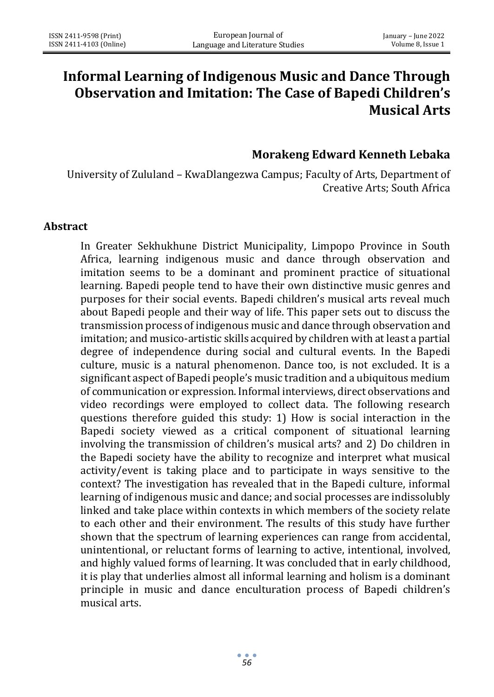# **Informal Learning of Indigenous Music and Dance Through Observation and Imitation: The Case of Bapedi Children's Musical Arts**

## **Morakeng Edward Kenneth Lebaka**

University of Zululand – KwaDlangezwa Campus; Faculty of Arts, Department of Creative Arts; South Africa

#### **Abstract**

In Greater Sekhukhune District Municipality, Limpopo Province in South Africa, learning indigenous music and dance through observation and imitation seems to be a dominant and prominent practice of situational learning. Bapedi people tend to have their own distinctive music genres and purposes for their social events. Bapedi children's musical arts reveal much about Bapedi people and their way of life. This paper sets out to discuss the transmission process of indigenous music and dance through observation and imitation; and musico-artistic skills acquired by children with at least a partial degree of independence during social and cultural events. In the Bapedi culture, music is a natural phenomenon. Dance too, is not excluded. It is a significant aspect of Bapedi people's music tradition and a ubiquitous medium of communication or expression. Informal interviews, direct observations and video recordings were employed to collect data. The following research questions therefore guided this study: 1) How is social interaction in the Bapedi society viewed as a critical component of situational learning involving the transmission of children's musical arts? and 2) Do children in the Bapedi society have the ability to recognize and interpret what musical activity/event is taking place and to participate in ways sensitive to the context? The investigation has revealed that in the Bapedi culture, informal learning of indigenous music and dance; and social processes are indissolubly linked and take place within contexts in which members of the society relate to each other and their environment. The results of this study have further shown that the spectrum of learning experiences can range from accidental, unintentional, or reluctant forms of learning to active, intentional, involved, and highly valued forms of learning. It was concluded that in early childhood, it is play that underlies almost all informal learning and holism is a dominant principle in music and dance enculturation process of Bapedi children's musical arts.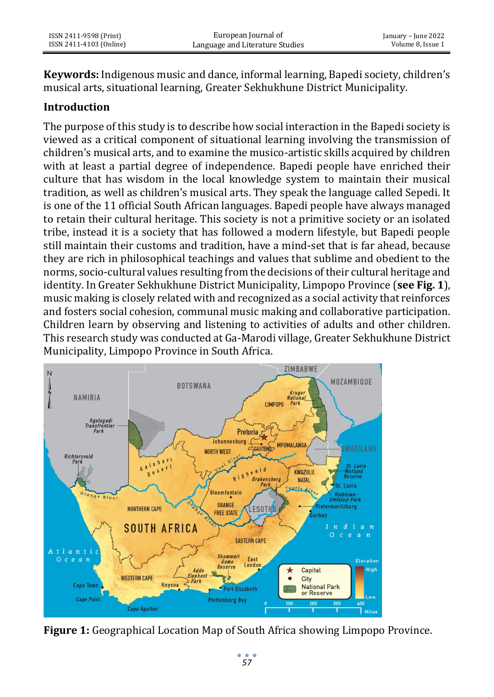**Keywords:** Indigenous music and dance, informal learning, Bapedi society, children's musical arts, situational learning, Greater Sekhukhune District Municipality.

## **Introduction**

The purpose of this study is to describe how social interaction in the Bapedi society is viewed as a critical component of situational learning involving the transmission of children's musical arts, and to examine the musico-artistic skills acquired by children with at least a partial degree of independence. Bapedi people have enriched their culture that has wisdom in the local knowledge system to maintain their musical tradition, as well as children's musical arts. They speak the language called Sepedi. It is one of the 11 official South African languages. Bapedi people have always managed to retain their cultural heritage. This society is not a primitive society or an isolated tribe, instead it is a society that has followed a modern lifestyle, but Bapedi people still maintain their customs and tradition, have a mind-set that is far ahead, because they are rich in philosophical teachings and values that sublime and obedient to the norms, socio-cultural values resulting from the decisions of their cultural heritage and identity. In Greater Sekhukhune District Municipality, Limpopo Province (**see Fig. 1**), music making is closely related with and recognized as a social activity that reinforces and fosters social cohesion, communal music making and collaborative participation. Children learn by observing and listening to activities of adults and other children. This research study was conducted at Ga-Marodi village, Greater Sekhukhune District Municipality, Limpopo Province in South Africa.



**Figure 1:** Geographical Location Map of South Africa showing Limpopo Province.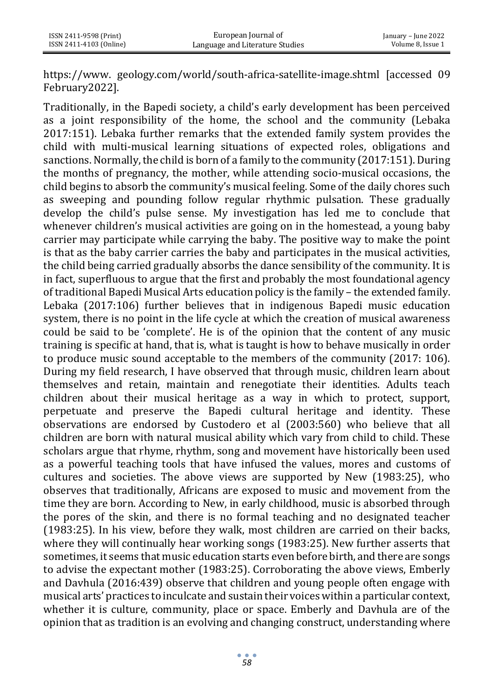https://www. geology.com/world/south-africa-satellite-image.shtml [accessed 09 February2022].

Traditionally, in the Bapedi society, a child's early development has been perceived as a joint responsibility of the home, the school and the community (Lebaka 2017:151). Lebaka further remarks that the extended family system provides the child with multi-musical learning situations of expected roles, obligations and sanctions. Normally, the child is born of a family to the community (2017:151). During the months of pregnancy, the mother, while attending socio-musical occasions, the child begins to absorb the community's musical feeling. Some of the daily chores such as sweeping and pounding follow regular rhythmic pulsation. These gradually develop the child's pulse sense. My investigation has led me to conclude that whenever children's musical activities are going on in the homestead, a young baby carrier may participate while carrying the baby. The positive way to make the point is that as the baby carrier carries the baby and participates in the musical activities, the child being carried gradually absorbs the dance sensibility of the community. It is in fact, superfluous to argue that the first and probably the most foundational agency of traditional Bapedi Musical Arts education policy is the family – the extended family. Lebaka (2017:106) further believes that in indigenous Bapedi music education system, there is no point in the life cycle at which the creation of musical awareness could be said to be 'complete'. He is of the opinion that the content of any music training is specific at hand, that is, what is taught is how to behave musically in order to produce music sound acceptable to the members of the community (2017: 106). During my field research, I have observed that through music, children learn about themselves and retain, maintain and renegotiate their identities. Adults teach children about their musical heritage as a way in which to protect, support, perpetuate and preserve the Bapedi cultural heritage and identity. These observations are endorsed by Custodero et al (2003:560) who believe that all children are born with natural musical ability which vary from child to child. These scholars argue that rhyme, rhythm, song and movement have historically been used as a powerful teaching tools that have infused the values, mores and customs of cultures and societies. The above views are supported by New (1983:25), who observes that traditionally, Africans are exposed to music and movement from the time they are born. According to New, in early childhood, music is absorbed through the pores of the skin, and there is no formal teaching and no designated teacher (1983:25). In his view, before they walk, most children are carried on their backs, where they will continually hear working songs (1983:25). New further asserts that sometimes, it seems that music education starts even before birth, and there are songs to advise the expectant mother (1983:25). Corroborating the above views, Emberly and Davhula (2016:439) observe that children and young people often engage with musical arts' practices to inculcate and sustain their voices within a particular context, whether it is culture, community, place or space. Emberly and Davhula are of the opinion that as tradition is an evolving and changing construct, understanding where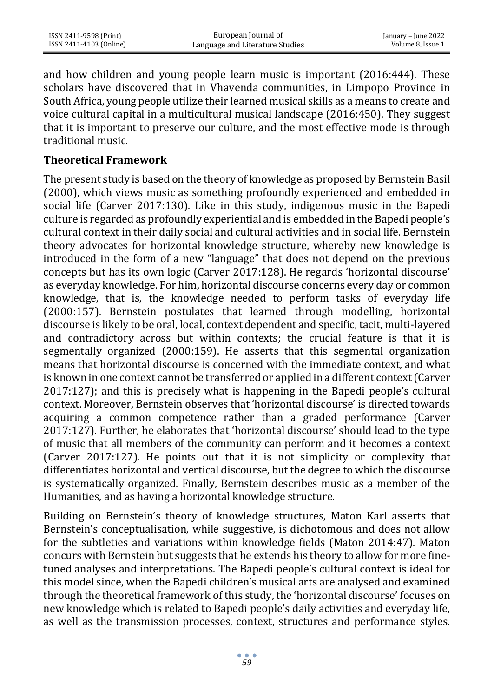and how children and young people learn music is important (2016:444). These scholars have discovered that in Vhavenda communities, in Limpopo Province in South Africa, young people utilize their learned musical skills as a means to create and voice cultural capital in a multicultural musical landscape (2016:450). They suggest that it is important to preserve our culture, and the most effective mode is through traditional music.

### **Theoretical Framework**

The present study is based on the theory of knowledge as proposed by Bernstein Basil (2000), which views music as something profoundly experienced and embedded in social life (Carver 2017:130). Like in this study, indigenous music in the Bapedi culture is regarded as profoundly experiential and is embedded in the Bapedi people's cultural context in their daily social and cultural activities and in social life. Bernstein theory advocates for horizontal knowledge structure, whereby new knowledge is introduced in the form of a new "language" that does not depend on the previous concepts but has its own logic (Carver 2017:128). He regards 'horizontal discourse' as everyday knowledge. For him, horizontal discourse concerns every day or common knowledge, that is, the knowledge needed to perform tasks of everyday life (2000:157). Bernstein postulates that learned through modelling, horizontal discourse is likely to be oral, local, context dependent and specific, tacit, multi-layered and contradictory across but within contexts; the crucial feature is that it is segmentally organized (2000:159). He asserts that this segmental organization means that horizontal discourse is concerned with the immediate context, and what is known in one context cannot be transferred or applied in a different context (Carver 2017:127); and this is precisely what is happening in the Bapedi people's cultural context. Moreover, Bernstein observes that 'horizontal discourse' is directed towards acquiring a common competence rather than a graded performance (Carver 2017:127). Further, he elaborates that 'horizontal discourse' should lead to the type of music that all members of the community can perform and it becomes a context (Carver 2017:127). He points out that it is not simplicity or complexity that differentiates horizontal and vertical discourse, but the degree to which the discourse is systematically organized. Finally, Bernstein describes music as a member of the Humanities, and as having a horizontal knowledge structure.

Building on Bernstein's theory of knowledge structures, Maton Karl asserts that Bernstein's conceptualisation, while suggestive, is dichotomous and does not allow for the subtleties and variations within knowledge fields (Maton 2014:47). Maton concurs with Bernstein but suggests that he extends his theory to allow for more finetuned analyses and interpretations. The Bapedi people's cultural context is ideal for this model since, when the Bapedi children's musical arts are analysed and examined through the theoretical framework of this study, the 'horizontal discourse' focuses on new knowledge which is related to Bapedi people's daily activities and everyday life, as well as the transmission processes, context, structures and performance styles.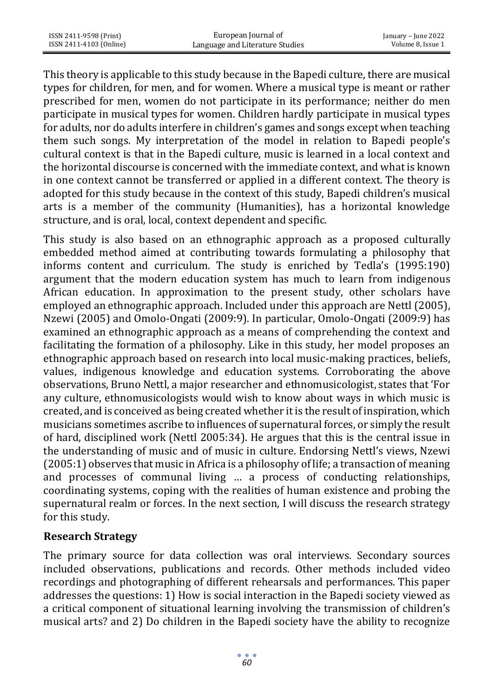| ISSN 2411-9598 (Print)  | European Journal of             | January – June 2022 |
|-------------------------|---------------------------------|---------------------|
| ISSN 2411-4103 (Online) | Language and Literature Studies | Volume 8, Issue 1   |

This theory is applicable to this study because in the Bapedi culture, there are musical types for children, for men, and for women. Where a musical type is meant or rather prescribed for men, women do not participate in its performance; neither do men participate in musical types for women. Children hardly participate in musical types for adults, nor do adults interfere in children's games and songs except when teaching them such songs. My interpretation of the model in relation to Bapedi people's cultural context is that in the Bapedi culture, music is learned in a local context and the horizontal discourse is concerned with the immediate context, and what is known in one context cannot be transferred or applied in a different context. The theory is adopted for this study because in the context of this study, Bapedi children's musical arts is a member of the community (Humanities), has a horizontal knowledge structure, and is oral, local, context dependent and specific.

This study is also based on an ethnographic approach as a proposed culturally embedded method aimed at contributing towards formulating a philosophy that informs content and curriculum. The study is enriched by Tedla's (1995:190) argument that the modern education system has much to learn from indigenous African education. In approximation to the present study, other scholars have employed an ethnographic approach. Included under this approach are Nettl (2005), Nzewi (2005) and Omolo-Ongati (2009:9). In particular, Omolo-Ongati (2009:9) has examined an ethnographic approach as a means of comprehending the context and facilitating the formation of a philosophy. Like in this study, her model proposes an ethnographic approach based on research into local music-making practices, beliefs, values, indigenous knowledge and education systems. Corroborating the above observations, Bruno Nettl, a major researcher and ethnomusicologist, states that 'For any culture, ethnomusicologists would wish to know about ways in which music is created, and is conceived as being created whether it is the result of inspiration, which musicians sometimes ascribe to influences of supernatural forces, or simply the result of hard, disciplined work (Nettl 2005:34). He argues that this is the central issue in the understanding of music and of music in culture. Endorsing Nettl's views, Nzewi (2005:1) observes that music in Africa is a philosophy of life; a transaction of meaning and processes of communal living … a process of conducting relationships, coordinating systems, coping with the realities of human existence and probing the supernatural realm or forces. In the next section, I will discuss the research strategy for this study.

#### **Research Strategy**

The primary source for data collection was oral interviews. Secondary sources included observations, publications and records. Other methods included video recordings and photographing of different rehearsals and performances. This paper addresses the questions: 1) How is social interaction in the Bapedi society viewed as a critical component of situational learning involving the transmission of children's musical arts? and 2) Do children in the Bapedi society have the ability to recognize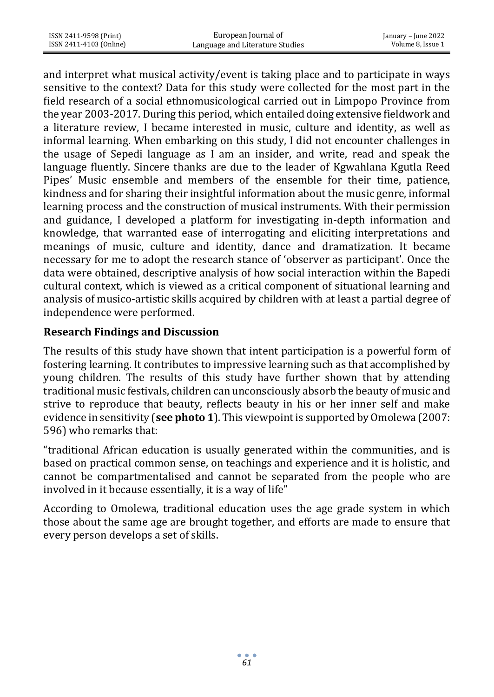and interpret what musical activity/event is taking place and to participate in ways sensitive to the context? Data for this study were collected for the most part in the field research of a social ethnomusicological carried out in Limpopo Province from the year 2003-2017. During this period, which entailed doing extensive fieldwork and a literature review, I became interested in music, culture and identity, as well as informal learning. When embarking on this study, I did not encounter challenges in the usage of Sepedi language as I am an insider, and write, read and speak the language fluently. Sincere thanks are due to the leader of Kgwahlana Kgutla Reed Pipes' Music ensemble and members of the ensemble for their time, patience, kindness and for sharing their insightful information about the music genre, informal learning process and the construction of musical instruments. With their permission and guidance, I developed a platform for investigating in-depth information and knowledge, that warranted ease of interrogating and eliciting interpretations and meanings of music, culture and identity, dance and dramatization. It became necessary for me to adopt the research stance of 'observer as participant'. Once the data were obtained, descriptive analysis of how social interaction within the Bapedi cultural context, which is viewed as a critical component of situational learning and analysis of musico-artistic skills acquired by children with at least a partial degree of independence were performed.

## **Research Findings and Discussion**

The results of this study have shown that intent participation is a powerful form of fostering learning. It contributes to impressive learning such as that accomplished by young children. The results of this study have further shown that by attending traditional music festivals, children can unconsciously absorb the beauty of music and strive to reproduce that beauty, reflects beauty in his or her inner self and make evidence in sensitivity (**see photo 1**). This viewpoint is supported by Omolewa (2007: 596) who remarks that:

"traditional African education is usually generated within the communities, and is based on practical common sense, on teachings and experience and it is holistic, and cannot be compartmentalised and cannot be separated from the people who are involved in it because essentially, it is a way of life"

According to Omolewa, traditional education uses the age grade system in which those about the same age are brought together, and efforts are made to ensure that every person develops a set of skills.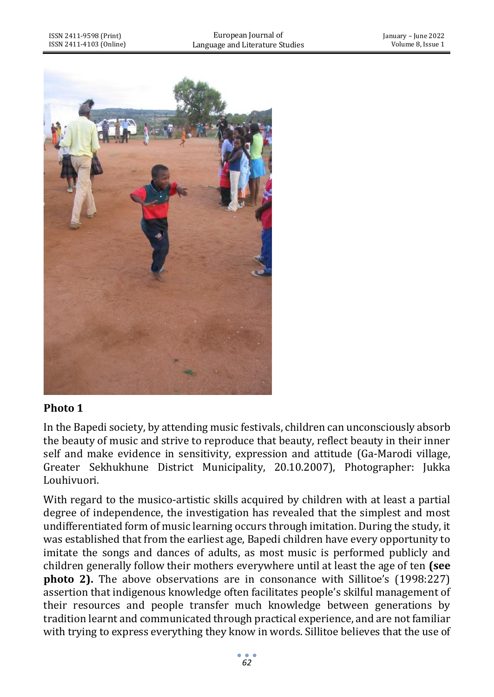

# **Photo 1**

In the Bapedi society, by attending music festivals, children can unconsciously absorb the beauty of music and strive to reproduce that beauty, reflect beauty in their inner self and make evidence in sensitivity, expression and attitude (Ga-Marodi village, Greater Sekhukhune District Municipality, 20.10.2007), Photographer: Jukka Louhivuori.

With regard to the musico-artistic skills acquired by children with at least a partial degree of independence, the investigation has revealed that the simplest and most undifferentiated form of music learning occurs through imitation. During the study, it was established that from the earliest age, Bapedi children have every opportunity to imitate the songs and dances of adults, as most music is performed publicly and children generally follow their mothers everywhere until at least the age of ten **(see photo 2).** The above observations are in consonance with Sillitoe's (1998:227) assertion that indigenous knowledge often facilitates people's skilful management of their resources and people transfer much knowledge between generations by tradition learnt and communicated through practical experience, and are not familiar with trying to express everything they know in words. Sillitoe believes that the use of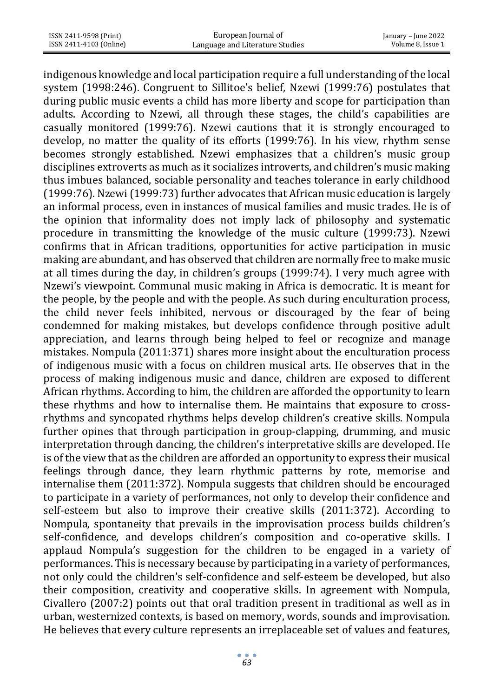| ISSN 2411-9598 (Print)  | European Journal of             | January – June 2022 |
|-------------------------|---------------------------------|---------------------|
| ISSN 2411-4103 (Online) | Language and Literature Studies | Volume 8, Issue 1   |

indigenous knowledge and local participation require a full understanding of the local system (1998:246). Congruent to Sillitoe's belief, Nzewi (1999:76) postulates that during public music events a child has more liberty and scope for participation than adults. According to Nzewi, all through these stages, the child's capabilities are casually monitored (1999:76). Nzewi cautions that it is strongly encouraged to develop, no matter the quality of its efforts (1999:76). In his view, rhythm sense becomes strongly established. Nzewi emphasizes that a children's music group disciplines extroverts as much as it socializes introverts, and children's music making thus imbues balanced, sociable personality and teaches tolerance in early childhood (1999:76). Nzewi (1999:73) further advocates that African music education is largely an informal process, even in instances of musical families and music trades. He is of the opinion that informality does not imply lack of philosophy and systematic procedure in transmitting the knowledge of the music culture (1999:73). Nzewi confirms that in African traditions, opportunities for active participation in music making are abundant, and has observed that children are normally free to make music at all times during the day, in children's groups (1999:74). I very much agree with Nzewi's viewpoint. Communal music making in Africa is democratic. It is meant for the people, by the people and with the people. As such during enculturation process, the child never feels inhibited, nervous or discouraged by the fear of being condemned for making mistakes, but develops confidence through positive adult appreciation, and learns through being helped to feel or recognize and manage mistakes. Nompula (2011:371) shares more insight about the enculturation process of indigenous music with a focus on children musical arts. He observes that in the process of making indigenous music and dance, children are exposed to different African rhythms. According to him, the children are afforded the opportunity to learn these rhythms and how to internalise them. He maintains that exposure to crossrhythms and syncopated rhythms helps develop children's creative skills. Nompula further opines that through participation in group-clapping, drumming, and music interpretation through dancing, the children's interpretative skills are developed. He is of the view that as the children are afforded an opportunity to express their musical feelings through dance, they learn rhythmic patterns by rote, memorise and internalise them (2011:372). Nompula suggests that children should be encouraged to participate in a variety of performances, not only to develop their confidence and self-esteem but also to improve their creative skills (2011:372). According to Nompula, spontaneity that prevails in the improvisation process builds children's self-confidence, and develops children's composition and co-operative skills. I applaud Nompula's suggestion for the children to be engaged in a variety of performances. This is necessary because by participating in a variety of performances, not only could the children's self-confidence and self-esteem be developed, but also their composition, creativity and cooperative skills. In agreement with Nompula, Civallero (2007:2) points out that oral tradition present in traditional as well as in urban, westernized contexts, is based on memory, words, sounds and improvisation. He believes that every culture represents an irreplaceable set of values and features,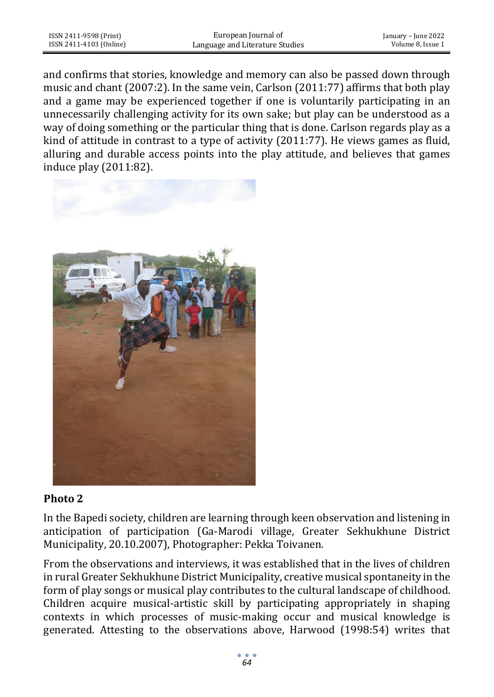and confirms that stories, knowledge and memory can also be passed down through music and chant (2007:2). In the same vein, Carlson (2011:77) affirms that both play and a game may be experienced together if one is voluntarily participating in an unnecessarily challenging activity for its own sake; but play can be understood as a way of doing something or the particular thing that is done. Carlson regards play as a kind of attitude in contrast to a type of activity (2011:77). He views games as fluid, alluring and durable access points into the play attitude, and believes that games induce play (2011:82).



# **Photo 2**

In the Bapedi society, children are learning through keen observation and listening in anticipation of participation (Ga-Marodi village, Greater Sekhukhune District Municipality, 20.10.2007), Photographer: Pekka Toivanen.

From the observations and interviews, it was established that in the lives of children in rural Greater Sekhukhune District Municipality, creative musical spontaneity in the form of play songs or musical play contributes to the cultural landscape of childhood. Children acquire musical-artistic skill by participating appropriately in shaping contexts in which processes of music-making occur and musical knowledge is generated. Attesting to the observations above, Harwood (1998:54) writes that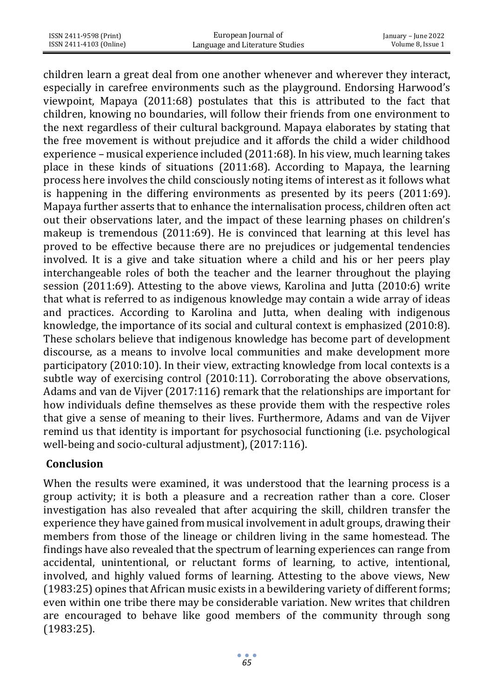| ISSN 2411-9598 (Print)  | European Journal of             | January – June 2022 |
|-------------------------|---------------------------------|---------------------|
| ISSN 2411-4103 (Online) | Language and Literature Studies | Volume 8. Issue 1   |

children learn a great deal from one another whenever and wherever they interact, especially in carefree environments such as the playground. Endorsing Harwood's viewpoint, Mapaya (2011:68) postulates that this is attributed to the fact that children, knowing no boundaries, will follow their friends from one environment to the next regardless of their cultural background. Mapaya elaborates by stating that the free movement is without prejudice and it affords the child a wider childhood experience – musical experience included (2011:68). In his view, much learning takes place in these kinds of situations (2011:68). According to Mapaya, the learning process here involves the child consciously noting items of interest as it follows what is happening in the differing environments as presented by its peers (2011:69). Mapaya further asserts that to enhance the internalisation process, children often act out their observations later, and the impact of these learning phases on children's makeup is tremendous (2011:69). He is convinced that learning at this level has proved to be effective because there are no prejudices or judgemental tendencies involved. It is a give and take situation where a child and his or her peers play interchangeable roles of both the teacher and the learner throughout the playing session (2011:69). Attesting to the above views, Karolina and Jutta (2010:6) write that what is referred to as indigenous knowledge may contain a wide array of ideas and practices. According to Karolina and Jutta, when dealing with indigenous knowledge, the importance of its social and cultural context is emphasized (2010:8). These scholars believe that indigenous knowledge has become part of development discourse, as a means to involve local communities and make development more participatory (2010:10). In their view, extracting knowledge from local contexts is a subtle way of exercising control (2010:11). Corroborating the above observations, Adams and van de Vijver (2017:116) remark that the relationships are important for how individuals define themselves as these provide them with the respective roles that give a sense of meaning to their lives. Furthermore, Adams and van de Vijver remind us that identity is important for psychosocial functioning (i.e. psychological well-being and socio-cultural adjustment), (2017:116).

# **Conclusion**

When the results were examined, it was understood that the learning process is a group activity; it is both a pleasure and a recreation rather than a core. Closer investigation has also revealed that after acquiring the skill, children transfer the experience they have gained from musical involvement in adult groups, drawing their members from those of the lineage or children living in the same homestead. The findings have also revealed that the spectrum of learning experiences can range from accidental, unintentional, or reluctant forms of learning, to active, intentional, involved, and highly valued forms of learning. Attesting to the above views, New (1983:25) opines that African music exists in a bewildering variety of different forms; even within one tribe there may be considerable variation. New writes that children are encouraged to behave like good members of the community through song (1983:25).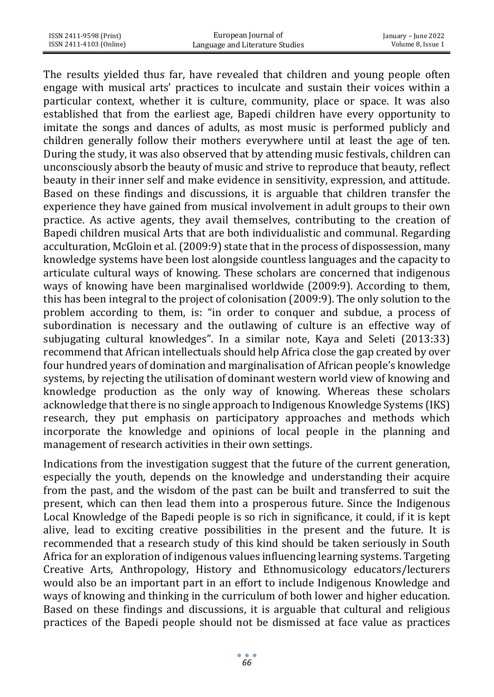| ISSN 2411-9598 (Print)  | European Journal of             | January – June 2022 |
|-------------------------|---------------------------------|---------------------|
| ISSN 2411-4103 (Online) | Language and Literature Studies | Volume 8. Issue 1   |
|                         |                                 |                     |

The results yielded thus far, have revealed that children and young people often engage with musical arts' practices to inculcate and sustain their voices within a particular context, whether it is culture, community, place or space. It was also established that from the earliest age, Bapedi children have every opportunity to imitate the songs and dances of adults, as most music is performed publicly and children generally follow their mothers everywhere until at least the age of ten. During the study, it was also observed that by attending music festivals, children can unconsciously absorb the beauty of music and strive to reproduce that beauty, reflect beauty in their inner self and make evidence in sensitivity, expression, and attitude. Based on these findings and discussions, it is arguable that children transfer the experience they have gained from musical involvement in adult groups to their own practice. As active agents, they avail themselves, contributing to the creation of Bapedi children musical Arts that are both individualistic and communal. Regarding acculturation, McGloin et al. (2009:9) state that in the process of dispossession, many knowledge systems have been lost alongside countless languages and the capacity to articulate cultural ways of knowing. These scholars are concerned that indigenous ways of knowing have been marginalised worldwide (2009:9). According to them, this has been integral to the project of colonisation (2009:9). The only solution to the problem according to them, is: "in order to conquer and subdue, a process of subordination is necessary and the outlawing of culture is an effective way of subjugating cultural knowledges". In a similar note, Kaya and Seleti (2013:33) recommend that African intellectuals should help Africa close the gap created by over four hundred years of domination and marginalisation of African people's knowledge systems, by rejecting the utilisation of dominant western world view of knowing and knowledge production as the only way of knowing. Whereas these scholars acknowledge that there is no single approach to Indigenous Knowledge Systems (IKS) research, they put emphasis on participatory approaches and methods which incorporate the knowledge and opinions of local people in the planning and management of research activities in their own settings.

Indications from the investigation suggest that the future of the current generation, especially the youth, depends on the knowledge and understanding their acquire from the past, and the wisdom of the past can be built and transferred to suit the present, which can then lead them into a prosperous future. Since the Indigenous Local Knowledge of the Bapedi people is so rich in significance, it could, if it is kept alive, lead to exciting creative possibilities in the present and the future. It is recommended that a research study of this kind should be taken seriously in South Africa for an exploration of indigenous values influencing learning systems. Targeting Creative Arts, Anthropology, History and Ethnomusicology educators/lecturers would also be an important part in an effort to include Indigenous Knowledge and ways of knowing and thinking in the curriculum of both lower and higher education. Based on these findings and discussions, it is arguable that cultural and religious practices of the Bapedi people should not be dismissed at face value as practices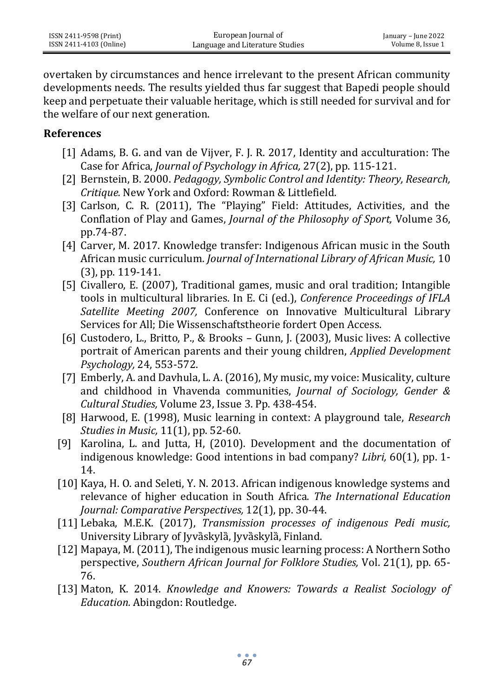| ISSN 2411-9598 (Print)  | European Journal of             | January – June 2022 |
|-------------------------|---------------------------------|---------------------|
| ISSN 2411-4103 (Online) | Language and Literature Studies | Volume 8, Issue 1   |

overtaken by circumstances and hence irrelevant to the present African community developments needs. The results yielded thus far suggest that Bapedi people should keep and perpetuate their valuable heritage, which is still needed for survival and for the welfare of our next generation.

#### **References**

- [1] Adams, B. G. and van de Vijver, F. J. R. 2017, Identity and acculturation: The Case for Africa, *Journal of Psychology in Africa,* 27(2), pp. 115-121.
- [2] Bernstein, B. 2000. *Pedagogy, Symbolic Control and Identity: Theory, Research, Critique.* New York and Oxford: Rowman & Littlefield.
- [3] Carlson, C. R. (2011), The "Playing" Field: Attitudes, Activities, and the Conflation of Play and Games, *Journal of the Philosophy of Sport,* Volume 36, pp.74-87.
- [4] Carver, M. 2017. Knowledge transfer: Indigenous African music in the South African music curriculum. *Journal of International Library of African Music,* 10 (3), pp. 119-141.
- [5] Civallero, E. (2007), Traditional games, music and oral tradition; Intangible tools in multicultural libraries. In E. Ci (ed.), *Conference Proceedings of IFLA Satellite Meeting 2007,* Conference on Innovative Multicultural Library Services for All; Die Wissenschaftstheorie fordert Open Access.
- [6] Custodero, L., Britto, P., & Brooks Gunn, J. (2003), Music lives: A collective portrait of American parents and their young children, *Applied Development Psychology,* 24, 553-572.
- [7] Emberly, A. and Davhula, L. A. (2016), My music, my voice: Musicality, culture and childhood in Vhavenda communities, *Journal of Sociology, Gender & Cultural Studies,* Volume 23, Issue 3. Pp. 438-454.
- [8] Harwood, E. (1998), Music learning in context: A playground tale, *Research Studies in Music,* 11(1), pp. 52-60.
- [9] Karolina, L. and Jutta, H, (2010). Development and the documentation of indigenous knowledge: Good intentions in bad company? *Libri,* 60(1), pp. 1- 14.
- [10] Kaya, H. O. and Seleti, Y. N. 2013. African indigenous knowledge systems and relevance of higher education in South Africa. *The International Education Journal: Comparative Perspectives,* 12(1), pp. 30-44.
- [11] Lebaka, M.E.K. (2017), *Transmission processes of indigenous Pedi music,*  University Library of Jyvȁskylȁ, Jyvȁskylȁ, Finland.
- [12] Mapaya, M. (2011), The indigenous music learning process: A Northern Sotho perspective, *Southern African Journal for Folklore Studies,* Vol. 21(1), pp. 65- 76.
- [13] Maton, K. 2014. *Knowledge and Knowers: Towards a Realist Sociology of Education.* Abingdon: Routledge.